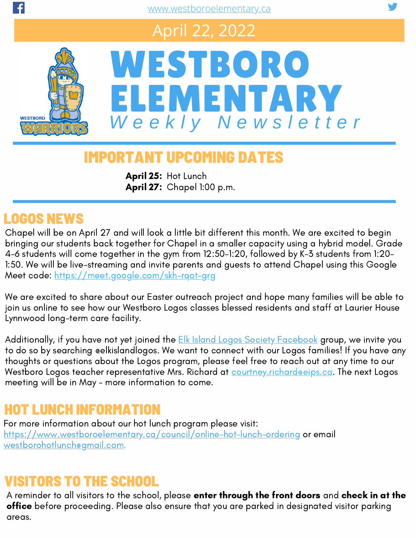# April 22, 2022



# WESTBORO ELEMENTARY *W e e k l y N e w s l e t t e r*

# IMPORTANT UPCOMING DATES

April 27: Chapel 1:00 p.m. April 25: Hot Lunch

### LOGOS NEWS

Chapel will be on April 27 and will look a little bit different this month. We are excited to begin bringing our students back together for Chapel in a smaller capacity using a hybrid model. Grade 4-6 students will come together in the gym from 12:50-1:20, followed by K-3 students from 1:20- 1:50. We will be live-streaming and invite parents and guests to attend Chapel using this Google Meet code: <https://meet.google.com/skh-rqot-grg>

We are excited to share about our Easter outreach project and hope many families will be able to join us online to see how our Westboro Logos classes blessed residents and staff at Laurier House Lynnwood long-term care facility.

Additionally, if you have not yet joined the **Elk Island Logos Society [Facebook](https://www.facebook.com/elkislandlogos)** group, we invite you to do so by searching @elkislandlogos. We want to connect with our Logos families! If you have any thoughts or questions about the Logos program, please feel free to reach out at any time to our Westboro Logos teacher representative Mrs. Richard at **[courtney.richard@eips.ca.](mailto:courtney.richard@eips.ca)** The next Logos meeting will be in May - more information to come.

# HOT LUNCH INFORMATION

For more information about our hot lunch program please visit: <https://www.westboroelementary.ca/council/online-hot-lunch-ordering> or email [westborohotlunch@gmail.com](mailto:westborohotlunch@gmail.com).

#### VISITORS TO THE SCHOOL

A reminder to all visitors to the school, please enter through the front doors and check in at the office before proceeding. Please also ensure that you are parked in designated visitor parking areas.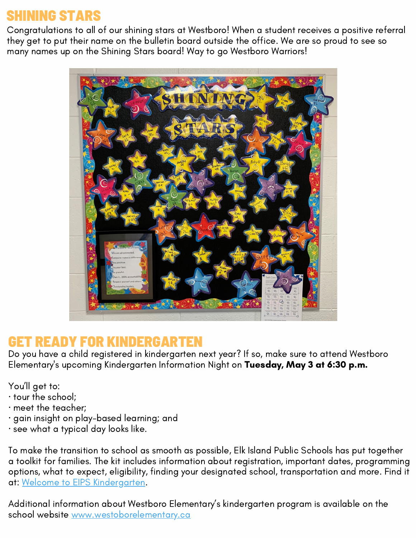## SHINING STARS

Congratulations to all of our shining stars at Westboro! When a student receives a positive referral they get to put their name on the bulletin board outside the office. We are so proud to see so many names up on the Shining Stars board! Way to go Westboro Warriors!



#### GET READY FOR KINDERGARTEN

Do you have a child registered in kindergarten next year? If so, make sure to attend Westboro Elementary's upcoming Kindergarten Information Night on Tuesday, May 3 at 6:30 p.m.

You'll get to:

- · tour the school;
- · meet the teacher;
- · gain insight on play-based learning; and
- · see what a typical day looks like.

To make the transition to school as smooth as possible, Elk Island Public Schools has put together a toolkit for families. The kit includes information about registration, important dates, programming options, what to expect, eligibility, finding your designated school, transportation and more. Find it at: Welcome to EIPS [Kindergarten.](https://www.eips.ca/programs-services/early-learning/kindergarten)

Additional information about Westboro Elementary's kindergarten program is available on the school website [www.westoborelementary.ca](https://www.westboroelementary.ca/about/kindergarten)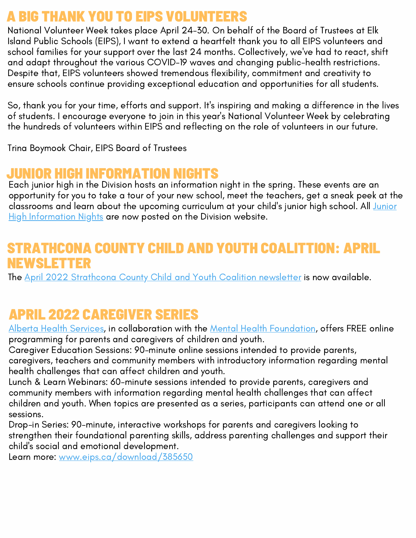#### A BIG THANK YOU TO EIPS VOLUNTEERS

National Volunteer Week takes place April 24-30. On behalf of the Board of Trustees at Elk Island Public Schools (EIPS), I want to extend a heartfelt thank you to all EIPS volunteers and school families for your support over the last 24 months. Collectively, we've had to react, shift and adapt throughout the various COVID-19 waves and changing public-health restrictions. Despite that, EIPS volunteers showed tremendous flexibility, commitment and creativity to ensure schools continue providing exceptional education and opportunities for all students.

So, thank you for your time, efforts and support. It's inspiring and making a difference in the lives of students. I encourage everyone to join in this year's National Volunteer Week by celebrating the hundreds of volunteers within EIPS and reflecting on the role of volunteers in our future.

Trina Boymook Chair, EIPS Board of Trustees

#### JUNIOR HIGH INFORMATION NIGHTS

Each junior high in the Division hosts an information night in the spring. These events are an opportunity for you to take a tour of your new school, meet the teachers, get a sneak peek at the classrooms and learn about the upcoming curriculum at your child's junior high school. All Junior High [Information](https://www.eips.ca/registration/junior-high) Nights are now posted on the Division website.

#### NA COUNTY CHILD AND YOUTH COALITTION: APRIL NEWSLETTER

The April 2022 [Strathcona](https://app.robly.com/archive?id=ccbe20dfb641519648a04070178eb1c4&v=true) County Child and Youth Coalition newsletter is now available.

# APRIL 2022 CAREGIVER SERIES

Alberta Health [Services,](https://www.facebook.com/albertahealthservices) in collaboration with the Mental Health [Foundation,](https://www.facebook.com/mentalhealthfoundation/) offers FREE online programming for parents and caregivers of children and youth.

Caregiver Education Sessions: 90-minute online sessions intended to provide parents, caregivers, teachers and community members with introductory information regarding mental health challenges that can affect children and youth.

Lunch & Learn Webinars: 60-minute sessions intended to provide parents, caregivers and community members with information regarding mental health challenges that can affect children and youth. When topics are presented as a series, participants can attend one or all sessions.

Drop-in Series: 90-minute, interactive workshops for parents and caregivers looking to strengthen their foundational parenting skills, address parenting challenges and support their child's social and emotional development.

Learn more: [www.eips.ca/download/385650](https://drive.google.com/file/d/1m-xQqSVn1C7Vq_BOcEAXsXgBjtyPoH_G/view)